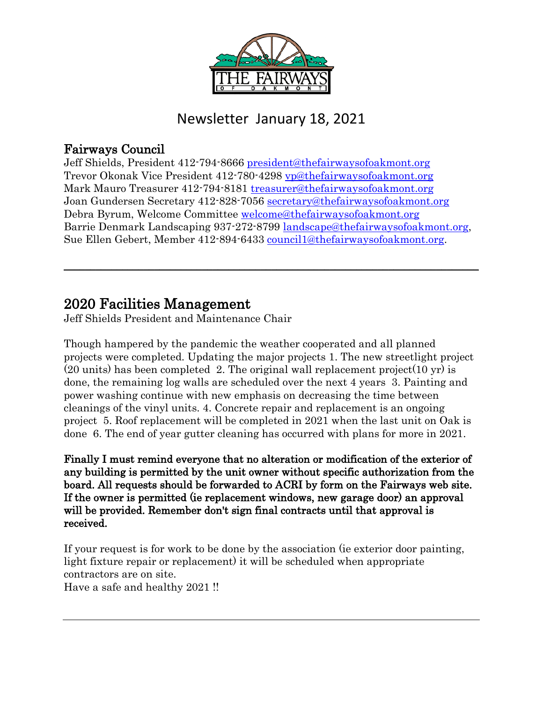

#### Newsletter January 18, 2021

#### Fairways Council

Jeff Shields, President 412-794-8666 [president@thefairwaysofoakmont.org](mailto:president@thefairwaysofoakmont.org) Trevor Okonak Vice President 412-780-4298 [vp@thefairwaysofoakmont.org](mailto:vp@thefairwaysofoakmont.org) Mark Mauro Treasurer 412-794-8181 [treasurer@thefairwaysofoakmont.org](mailto:treasurer@thefairwaysofoakmont.org) Joan Gundersen Secretary 412-828-7056 [secretary@thefairwaysofoakmont.org](mailto:secretary@thefairwaysofoakmont.org) Debra Byrum, Welcome Committee [welcome@thefairwaysofoakmont.org](mailto:welcome@thefairwaysofoakmont.org) Barrie Denmark Landscaping 937-272-8799 [landscape@thefairwaysofoakmont.org,](mailto:landscape@thefairwaysofoakmont.org) Sue Ellen Gebert, Member 412-894-6433 [council1@thefairwaysofoakmont.org.](mailto:council1@thefairwaysofoakmont.org)

 $\_$  , and the set of the set of the set of the set of the set of the set of the set of the set of the set of the set of the set of the set of the set of the set of the set of the set of the set of the set of the set of th

## 2020 Facilities Management<br>Jeff Shields President and Maintenance Chair

Though hampered by the pandemic the weather cooperated and all planned projects were completed. Updating the major projects 1. The new streetlight project  $(20 \text{ units})$  has been completed 2. The original wall replacement project $(10 \text{ yr})$  is done, the remaining log walls are scheduled over the next 4 years 3. Painting and power washing continue with new emphasis on decreasing the time between cleanings of the vinyl units. 4. Concrete repair and replacement is an ongoing project 5. Roof replacement will be completed in 2021 when the last unit on Oak is done 6. The end of year gutter cleaning has occurred with plans for more in 2021.

Finally I must remind everyone that no alteration or modification of the exterior of any building is permitted by the unit owner without specific authorization from the board. All requests should be forwarded to ACRI by form on the Fairways web site. If the owner is permitted (ie replacement windows, new garage door) an approval will be provided. Remember don't sign final contracts until that approval is received.

If your request is for work to be done by the association (ie exterior door painting, light fixture repair or replacement) it will be scheduled when appropriate contractors are on site. Have a safe and healthy 2021 !!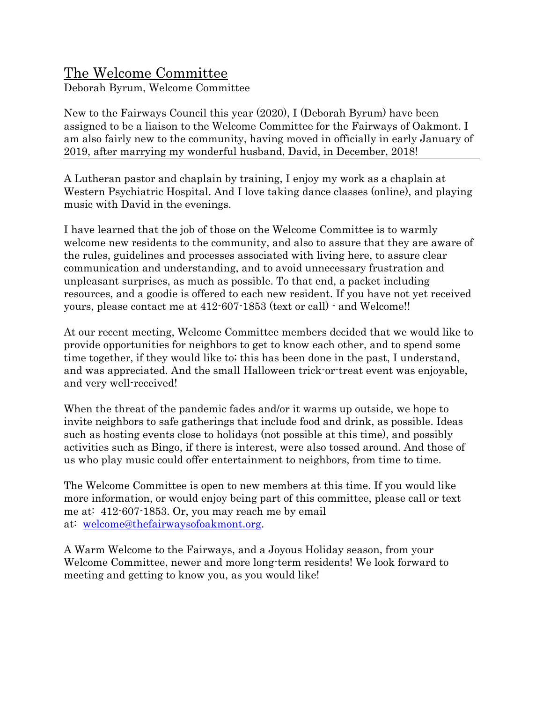#### The Welcome Committee

Deborah Byrum, Welcome Committee

New to the Fairways Council this year (2020), I (Deborah Byrum) have been assigned to be a liaison to the Welcome Committee for the Fairways of Oakmont. I am also fairly new to the community, having moved in officially in early January of 2019, after marrying my wonderful husband, David, in December, 2018!

A Lutheran pastor and chaplain by training, I enjoy my work as a chaplain at Western Psychiatric Hospital. And I love taking dance classes (online), and playing music with David in the evenings.

I have learned that the job of those on the Welcome Committee is to warmly welcome new residents to the community, and also to assure that they are aware of the rules, guidelines and processes associated with living here, to assure clear communication and understanding, and to avoid unnecessary frustration and unpleasant surprises, as much as possible. To that end, a packet including resources, and a goodie is offered to each new resident. If you have not yet received yours, please contact me at 412-607-1853 (text or call) - and Welcome!!

At our recent meeting, Welcome Committee members decided that we would like to provide opportunities for neighbors to get to know each other, and to spend some time together, if they would like to; this has been done in the past, I understand, and was appreciated. And the small Halloween trick-or-treat event was enjoyable, and very well-received!

When the threat of the pandemic fades and/or it warms up outside, we hope to invite neighbors to safe gatherings that include food and drink, as possible. Ideas such as hosting events close to holidays (not possible at this time), and possibly activities such as Bingo, if there is interest, were also tossed around. And those of us who play music could offer entertainment to neighbors, from time to time.

The Welcome Committee is open to new members at this time. If you would like more information, or would enjoy being part of this committee, please call or text me at: 412-607-1853. Or, you may reach me by email at: [welcome@thefairwaysofoakmont.org.](about:blank)

A Warm Welcome to the Fairways, and a Joyous Holiday season, from your Welcome Committee, newer and more long-term residents! We look forward to meeting and getting to know you, as you would like!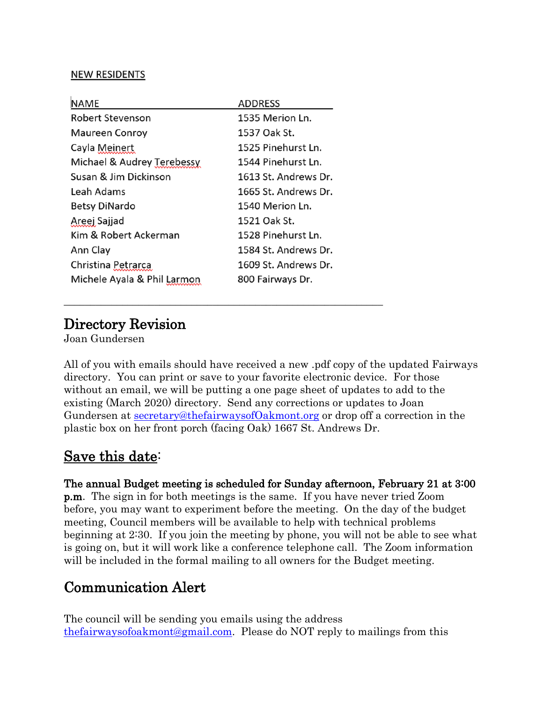#### **NEW RESIDENTS**

| NAME                        | <b>ADDRESS</b>       |
|-----------------------------|----------------------|
| <b>Robert Stevenson</b>     | 1535 Merion Ln.      |
| <b>Maureen Conroy</b>       | 1537 Oak St.         |
| Cayla Meinert               | 1525 Pinehurst Ln.   |
| Michael & Audrey Terebessy  | 1544 Pinehurst Ln.   |
| Susan & Jim Dickinson       | 1613 St. Andrews Dr. |
| Leah Adams                  | 1665 St. Andrews Dr. |
| <b>Betsy DiNardo</b>        | 1540 Merion Ln.      |
| Areej Sajjad                | 1521 Oak St.         |
| Kim & Robert Ackerman       | 1528 Pinehurst Ln.   |
| Ann Clay                    | 1584 St. Andrews Dr. |
| Christina Petrarca          | 1609 St. Andrews Dr. |
| Michele Ayala & Phil Larmon | 800 Fairways Dr.     |
|                             |                      |

\_\_\_\_\_\_\_\_\_\_\_\_\_\_\_\_\_\_\_\_\_\_\_\_\_\_\_\_\_\_\_\_\_\_\_\_\_\_\_\_\_\_\_\_\_\_\_\_\_\_\_\_\_\_\_\_\_\_\_\_

## Directory Revision<br>Joan Gundersen

All of you with emails should have received a new .pdf copy of the updated Fairways directory. You can print or save to your favorite electronic device. For those without an email, we will be putting a one page sheet of updates to add to the existing (March 2020) directory. Send any corrections or updates to Joan Gundersen at [secretary@thefairwaysofOakmont.org](about:blank) or drop off a correction in the plastic box on her front porch (facing Oak) 1667 St. Andrews Dr.

#### Save this date:

The annual Budget meeting is scheduled for Sunday afternoon, February 21 at 3:00 p.m. The sign in for both meetings is the same. If you have never tried Zoom before, you may want to experiment before the meeting. On the day of the budget meeting, Council members will be available to help with technical problems beginning at 2:30. If you join the meeting by phone, you will not be able to see what is going on, but it will work like a conference telephone call. The Zoom information will be included in the formal mailing to all owners for the Budget meeting.

#### Communication Alert

The council will be sending you emails using the address [thefairwaysofoakmont@gmail.com.](mailto:thefairwaysofoakmont@gmail.com) Please do NOT reply to mailings from this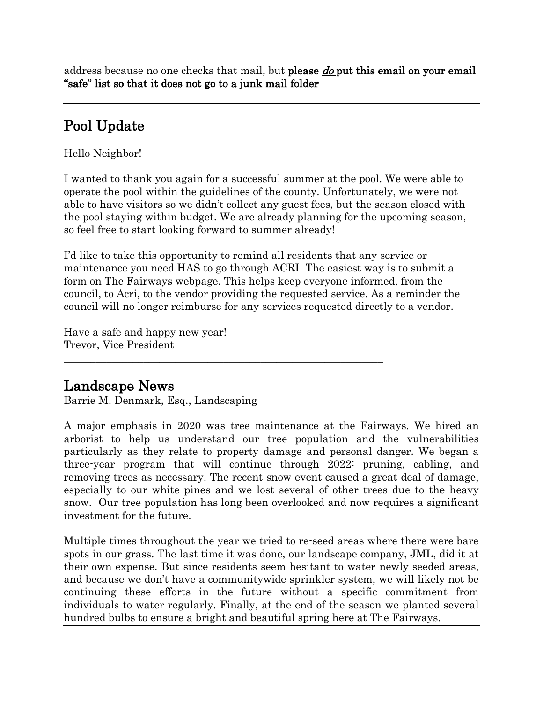address because no one checks that mail, but please *do* put this email on your email "safe" list so that it does not go to a junk mail folder

### Pool Update

Hello Neighbor!

I wanted to thank you again for a successful summer at the pool. We were able to operate the pool within the guidelines of the county. Unfortunately, we were not able to have visitors so we didn't collect any guest fees, but the season closed with the pool staying within budget. We are already planning for the upcoming season, so feel free to start looking forward to summer already!

I'd like to take this opportunity to remind all residents that any service or maintenance you need HAS to go through ACRI. The easiest way is to submit a form on The Fairways webpage. This helps keep everyone informed, from the council, to Acri, to the vendor providing the requested service. As a reminder the council will no longer reimburse for any services requested directly to a vendor.

\_\_\_\_\_\_\_\_\_\_\_\_\_\_\_\_\_\_\_\_\_\_\_\_\_\_\_\_\_\_\_\_\_\_\_\_\_\_\_\_\_\_\_\_\_\_\_\_\_\_\_\_\_\_\_\_\_\_\_\_

Have a safe and happy new year! Trevor, Vice President

Landscape News<br>Barrie M. Denmark, Esq., Landscaping

A major emphasis in 2020 was tree maintenance at the Fairways. We hired an arborist to help us understand our tree population and the vulnerabilities particularly as they relate to property damage and personal danger. We began a three-year program that will continue through 2022: pruning, cabling, and removing trees as necessary. The recent snow event caused a great deal of damage, especially to our white pines and we lost several of other trees due to the heavy snow. Our tree population has long been overlooked and now requires a significant investment for the future.

Multiple times throughout the year we tried to re-seed areas where there were bare spots in our grass. The last time it was done, our landscape company, JML, did it at their own expense. But since residents seem hesitant to water newly seeded areas, and because we don't have a communitywide sprinkler system, we will likely not be continuing these efforts in the future without a specific commitment from individuals to water regularly. Finally, at the end of the season we planted several hundred bulbs to ensure a bright and beautiful spring here at The Fairways.